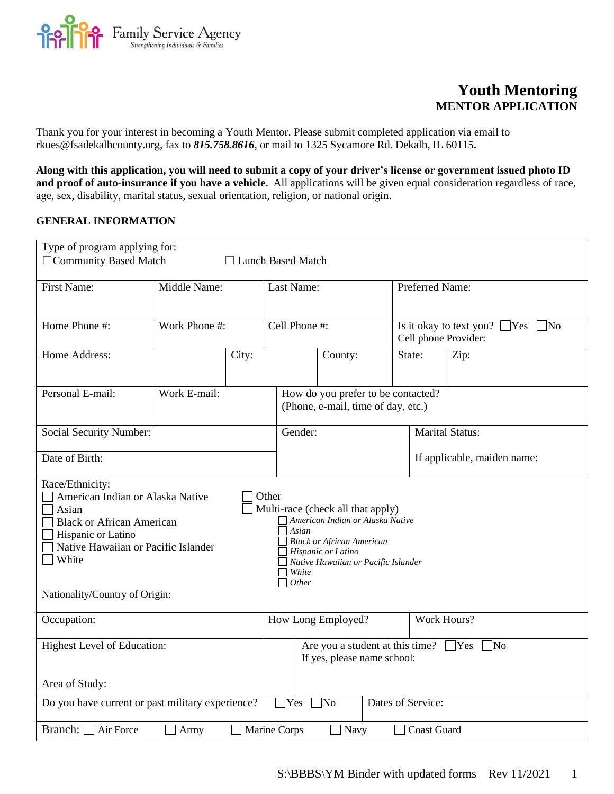**Pamily Service Agency**  $rac{1}{166}$ 

# **Youth Mentoring MENTOR APPLICATION**

Thank you for your interest in becoming a Youth Mentor. Please submit completed application via email to rkues@fsadekalbcounty.org*,* fax to *815.758.8616*, or mail to 1325 Sycamore Rd. Dekalb, IL 60115**.**

**Along with this application, you will need to submit a copy of your driver's license or government issued photo ID and proof of auto-insurance if you have a vehicle.** All applications will be given equal consideration regardless of race, age, sex, disability, marital status, sexual orientation, religion, or national origin.

# **GENERAL INFORMATION**

| Type of program applying for:                                                                                                                                                                                                                                                                                                                                                                                      |                                                                                           |       |                          |                                                                                     |             |                        |                                                                       |
|--------------------------------------------------------------------------------------------------------------------------------------------------------------------------------------------------------------------------------------------------------------------------------------------------------------------------------------------------------------------------------------------------------------------|-------------------------------------------------------------------------------------------|-------|--------------------------|-------------------------------------------------------------------------------------|-------------|------------------------|-----------------------------------------------------------------------|
| □ Community Based Match                                                                                                                                                                                                                                                                                                                                                                                            |                                                                                           |       | $\Box$ Lunch Based Match |                                                                                     |             |                        |                                                                       |
| <b>First Name:</b>                                                                                                                                                                                                                                                                                                                                                                                                 | Middle Name:                                                                              |       | Last Name:               |                                                                                     |             | Preferred Name:        |                                                                       |
| Home Phone #:                                                                                                                                                                                                                                                                                                                                                                                                      | Work Phone #:                                                                             |       | Cell Phone #:            |                                                                                     |             |                        | Is it okay to text you? $\Box$ Yes<br>$\n  7$<br>Cell phone Provider: |
| Home Address:                                                                                                                                                                                                                                                                                                                                                                                                      |                                                                                           | City: |                          | County:                                                                             |             | State:                 | Zip:                                                                  |
| Personal E-mail:                                                                                                                                                                                                                                                                                                                                                                                                   | Work E-mail:                                                                              |       |                          | How do you prefer to be contacted?<br>(Phone, e-mail, time of day, etc.)            |             |                        |                                                                       |
| Social Security Number:                                                                                                                                                                                                                                                                                                                                                                                            |                                                                                           |       | Gender:                  |                                                                                     |             | <b>Marital Status:</b> |                                                                       |
| Date of Birth:                                                                                                                                                                                                                                                                                                                                                                                                     |                                                                                           |       |                          | If applicable, maiden name:                                                         |             |                        |                                                                       |
| Race/Ethnicity:<br>American Indian or Alaska Native<br>Other<br>Asian<br>Multi-race (check all that apply)<br>American Indian or Alaska Native<br><b>Black or African American</b><br>$A$ sian<br>Hispanic or Latino<br>Black or African American<br>Native Hawaiian or Pacific Islander<br>Hispanic or Latino<br>White<br>Native Hawaiian or Pacific Islander<br>White<br>Other<br>Nationality/Country of Origin: |                                                                                           |       |                          |                                                                                     |             |                        |                                                                       |
| Occupation:                                                                                                                                                                                                                                                                                                                                                                                                        |                                                                                           |       | How Long Employed?       |                                                                                     | Work Hours? |                        |                                                                       |
| <b>Highest Level of Education:</b><br>Area of Study:                                                                                                                                                                                                                                                                                                                                                               |                                                                                           |       |                          | Are you a student at this time? $\Box$ Yes $\Box$ No<br>If yes, please name school: |             |                        |                                                                       |
|                                                                                                                                                                                                                                                                                                                                                                                                                    | Dates of Service:<br>Do you have current or past military experience?<br>Yes<br>$\Box$ No |       |                          |                                                                                     |             |                        |                                                                       |
| Branch: $\Box$ Air Force<br>Marine Corps<br><b>Coast Guard</b><br>Navy<br>Army                                                                                                                                                                                                                                                                                                                                     |                                                                                           |       |                          |                                                                                     |             |                        |                                                                       |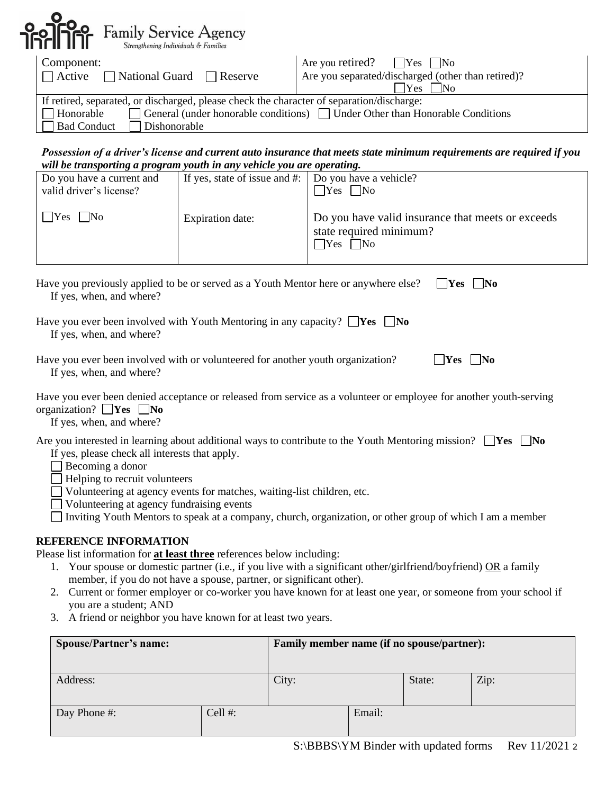| <b>Politica</b> Family Service Agency<br>Strengthening Individuals & Families                                                                |                                                                                                                                           |
|----------------------------------------------------------------------------------------------------------------------------------------------|-------------------------------------------------------------------------------------------------------------------------------------------|
| Component:<br>$\Box$ Active $\Box$ National Guard $\Box$ Reserve                                                                             | Are you retired? $\bigcap$ Yes $\bigcap$ No<br>Are you separated/discharged (other than retired)?<br><b>Yes</b><br>$\overline{\text{No}}$ |
| If retired, separated, or discharged, please check the character of separation/discharge:<br>Honorable<br><b>Bad Conduct</b><br>Dishonorable | □ General (under honorable conditions) □ Under Other than Honorable Conditions                                                            |

#### *Possession of a driver's license and current auto insurance that meets state minimum requirements are required if you will be transporting a program youth in any vehicle you are operating.*

| wat be transporting a program youth in any veniete you are operating. |                                                                 |                                                                                                      |  |  |  |  |  |
|-----------------------------------------------------------------------|-----------------------------------------------------------------|------------------------------------------------------------------------------------------------------|--|--|--|--|--|
| Do you have a current and<br>valid driver's license?                  | If yes, state of issue and $\#$ : $\Box$ Do you have a vehicle? | $\Box$ Yes $\Box$ No                                                                                 |  |  |  |  |  |
| $ $ Yes $ $ No                                                        | Expiration date:                                                | Do you have valid insurance that meets or exceeds<br>state required minimum?<br>$\Box$ Yes $\Box$ No |  |  |  |  |  |
|                                                                       |                                                                 |                                                                                                      |  |  |  |  |  |

| Have you previously applied to be or served as a Youth Mentor here or anywhere else? $\Box$ Yes $\Box$ No |  |
|-----------------------------------------------------------------------------------------------------------|--|
| If yes, when, and where?                                                                                  |  |

|                          | Have you ever been involved with Youth Mentoring in any capacity? $\Box$ Yes $\Box$ No |  |
|--------------------------|----------------------------------------------------------------------------------------|--|
| If yes, when, and where? |                                                                                        |  |

| Have you ever been involved with or volunteered for another youth organization? | $\Box$ Yes $\Box$ No |
|---------------------------------------------------------------------------------|----------------------|
| If yes, when, and where?                                                        |                      |

| Have you ever been denied acceptance or released from service as a volunteer or employee for another youth-serving |  |
|--------------------------------------------------------------------------------------------------------------------|--|
| organization? $\Box$ Yes $\Box$ No                                                                                 |  |

If yes, when, and where?

|                                                                |  |  | Are you interested in learning about additional ways to contribute to the Youth Mentoring mission? $\Box$ Yes $\Box$ No |  |  |
|----------------------------------------------------------------|--|--|-------------------------------------------------------------------------------------------------------------------------|--|--|
| $\mathbf{v}$ , and a set of the set of the set of $\mathbf{v}$ |  |  |                                                                                                                         |  |  |

- If yes, please check all interests that apply.
- Becoming a donor
- $\Box$  Helping to recruit volunteers
- Volunteering at agency events for matches, waiting-list children, etc.
- Volunteering at agency fundraising events

□ Inviting Youth Mentors to speak at a company, church, organization, or other group of which I am a member

# **REFERENCE INFORMATION**

Please list information for **at least three** references below including:

- 1. Your spouse or domestic partner (i.e., if you live with a significant other/girlfriend/boyfriend) OR a family member, if you do not have a spouse, partner, or significant other).
- 2. Current or former employer or co-worker you have known for at least one year, or someone from your school if you are a student; AND
- 3. A friend or neighbor you have known for at least two years.

| <b>Spouse/Partner's name:</b> | Family member name (if no spouse/partner): |       |        |                                                                                                                                                                                                                                                                                                                                                                                                                        |                                                                                                            |
|-------------------------------|--------------------------------------------|-------|--------|------------------------------------------------------------------------------------------------------------------------------------------------------------------------------------------------------------------------------------------------------------------------------------------------------------------------------------------------------------------------------------------------------------------------|------------------------------------------------------------------------------------------------------------|
| Address:                      |                                            | City: |        | State:                                                                                                                                                                                                                                                                                                                                                                                                                 | Zip:                                                                                                       |
| Day Phone #:                  | Cell $#$ :                                 |       | Email: |                                                                                                                                                                                                                                                                                                                                                                                                                        |                                                                                                            |
|                               |                                            |       |        | $\alpha$ , $\alpha$ , $\alpha$ , $\alpha$ , $\alpha$ , $\alpha$ , $\alpha$ , $\alpha$ , $\alpha$ , $\alpha$ , $\alpha$ , $\alpha$ , $\alpha$ , $\alpha$ , $\alpha$ , $\alpha$ , $\alpha$ , $\alpha$ , $\alpha$ , $\alpha$ , $\alpha$ , $\alpha$ , $\alpha$ , $\alpha$ , $\alpha$ , $\alpha$ , $\alpha$ , $\alpha$ , $\alpha$ , $\alpha$ , $\alpha$ , $\alpha$ , $\alpha$ , $\alpha$ , $\alpha$ , $\alpha$ , $\alpha$ , | $\overline{A}$ $\overline{A}$ $\overline{A}$ $\overline{A}$ $\overline{A}$ $\overline{A}$<br>$\sim$ $\sim$ |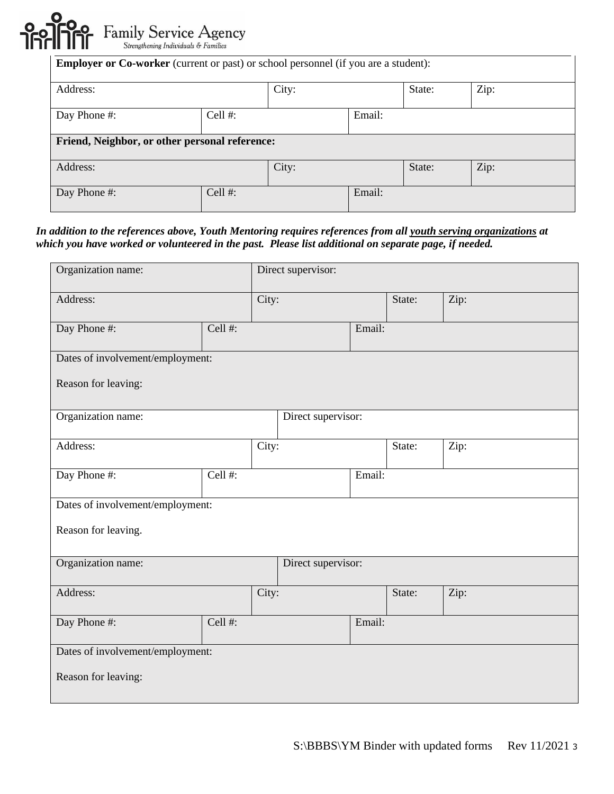

| <b>Employer or Co-worker</b> (current or past) or school personnel (if you are a student): |                                                |       |        |        |      |  |
|--------------------------------------------------------------------------------------------|------------------------------------------------|-------|--------|--------|------|--|
| Address:                                                                                   |                                                | City: |        | State: | Zip: |  |
| Cell $#$ :<br>Day Phone #:                                                                 |                                                |       | Email: |        |      |  |
|                                                                                            | Friend, Neighbor, or other personal reference: |       |        |        |      |  |
| Address:                                                                                   |                                                | City: |        | State: | Zip: |  |
| Day Phone #:                                                                               | Cell $#$ :                                     |       | Email: |        |      |  |

## *In addition to the references above, Youth Mentoring requires references from all youth serving organizations at which you have worked or volunteered in the past. Please list additional on separate page, if needed.*

| Organization name:               |            |       | Direct supervisor: |        |        |      |  |
|----------------------------------|------------|-------|--------------------|--------|--------|------|--|
| Address:                         |            | City: |                    |        | State: | Zip: |  |
| Day Phone #:                     | Cell #:    |       |                    | Email: |        |      |  |
| Dates of involvement/employment: |            |       |                    |        |        |      |  |
| Reason for leaving:              |            |       |                    |        |        |      |  |
| Organization name:               |            |       | Direct supervisor: |        |        |      |  |
| Address:                         |            | City: |                    |        | State: | Zip: |  |
| Day Phone #:                     | Cell #:    |       |                    | Email: |        |      |  |
| Dates of involvement/employment: |            |       |                    |        |        |      |  |
| Reason for leaving.              |            |       |                    |        |        |      |  |
| Organization name:               |            |       | Direct supervisor: |        |        |      |  |
| Address:                         |            | City: |                    |        | State: | Zip: |  |
| Day Phone #:                     | Cell $#$ : |       |                    | Email: |        |      |  |
| Dates of involvement/employment: |            |       |                    |        |        |      |  |
| Reason for leaving:              |            |       |                    |        |        |      |  |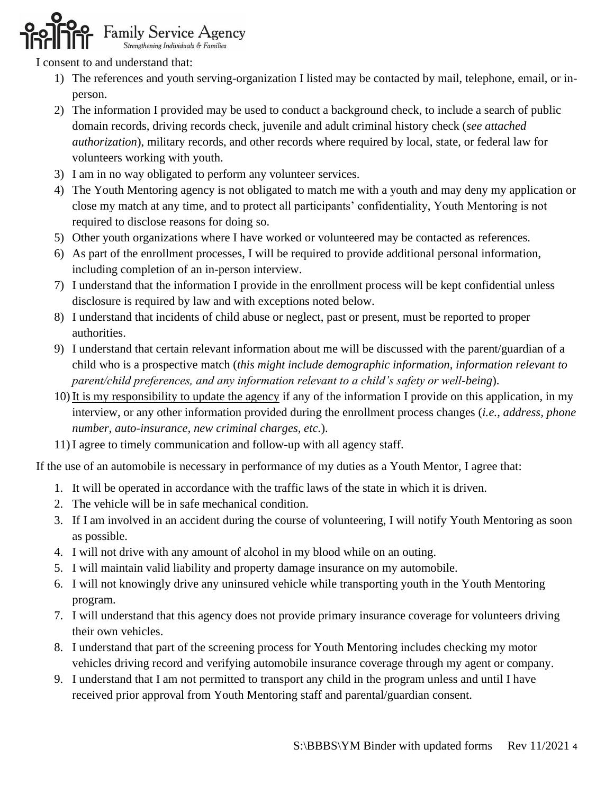# **Family Service Agency**

I consent to and understand that:

- 1) The references and youth serving-organization I listed may be contacted by mail, telephone, email, or inperson.
- 2) The information I provided may be used to conduct a background check, to include a search of public domain records, driving records check, juvenile and adult criminal history check (*see attached authorization*), military records, and other records where required by local, state, or federal law for volunteers working with youth.
- 3) I am in no way obligated to perform any volunteer services.
- 4) The Youth Mentoring agency is not obligated to match me with a youth and may deny my application or close my match at any time, and to protect all participants' confidentiality, Youth Mentoring is not required to disclose reasons for doing so.
- 5) Other youth organizations where I have worked or volunteered may be contacted as references.
- 6) As part of the enrollment processes, I will be required to provide additional personal information, including completion of an in-person interview.
- 7) I understand that the information I provide in the enrollment process will be kept confidential unless disclosure is required by law and with exceptions noted below.
- 8) I understand that incidents of child abuse or neglect, past or present, must be reported to proper authorities.
- 9) I understand that certain relevant information about me will be discussed with the parent/guardian of a child who is a prospective match (*this might include demographic information, information relevant to parent/child preferences, and any information relevant to a child's safety or well-being*).
- 10) It is my responsibility to update the agency if any of the information I provide on this application, in my interview, or any other information provided during the enrollment process changes (*i.e., address, phone number, auto-insurance, new criminal charges, etc.*).
- 11) I agree to timely communication and follow-up with all agency staff.

If the use of an automobile is necessary in performance of my duties as a Youth Mentor, I agree that:

- 1. It will be operated in accordance with the traffic laws of the state in which it is driven.
- 2. The vehicle will be in safe mechanical condition.
- 3. If I am involved in an accident during the course of volunteering, I will notify Youth Mentoring as soon as possible.
- 4. I will not drive with any amount of alcohol in my blood while on an outing.
- 5. I will maintain valid liability and property damage insurance on my automobile.
- 6. I will not knowingly drive any uninsured vehicle while transporting youth in the Youth Mentoring program.
- 7. I will understand that this agency does not provide primary insurance coverage for volunteers driving their own vehicles.
- 8. I understand that part of the screening process for Youth Mentoring includes checking my motor vehicles driving record and verifying automobile insurance coverage through my agent or company.
- 9. I understand that I am not permitted to transport any child in the program unless and until I have received prior approval from Youth Mentoring staff and parental/guardian consent.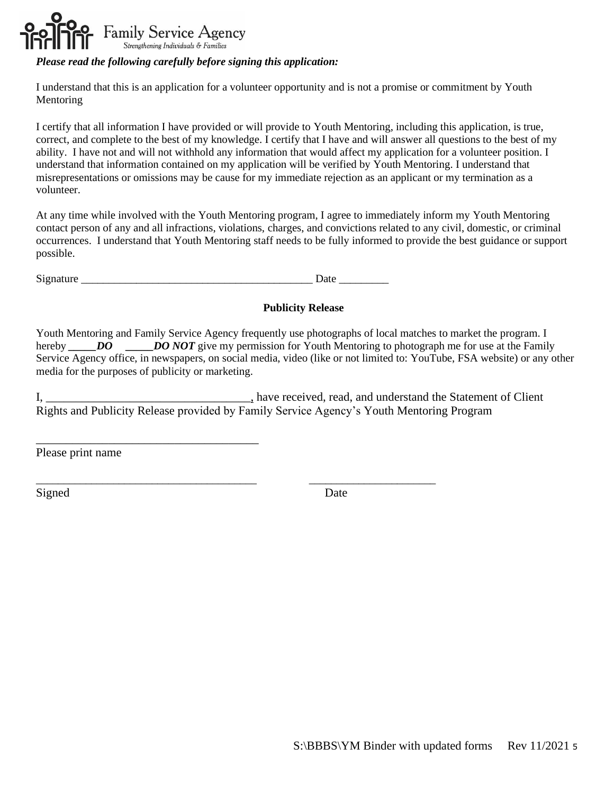

## *Please read the following carefully before signing this application:*

I understand that this is an application for a volunteer opportunity and is not a promise or commitment by Youth Mentoring

I certify that all information I have provided or will provide to Youth Mentoring, including this application, is true, correct, and complete to the best of my knowledge. I certify that I have and will answer all questions to the best of my ability. I have not and will not withhold any information that would affect my application for a volunteer position. I understand that information contained on my application will be verified by Youth Mentoring. I understand that misrepresentations or omissions may be cause for my immediate rejection as an applicant or my termination as a volunteer.

At any time while involved with the Youth Mentoring program, I agree to immediately inform my Youth Mentoring contact person of any and all infractions, violations, charges, and convictions related to any civil, domestic, or criminal occurrences. I understand that Youth Mentoring staff needs to be fully informed to provide the best guidance or support possible.

Signature \_\_\_\_\_\_\_\_\_\_\_\_\_\_\_\_\_\_\_\_\_\_\_\_\_\_\_\_\_\_\_\_\_\_\_\_\_\_\_\_\_\_ Date \_\_\_\_\_\_\_\_\_

\_\_\_\_\_\_\_\_\_\_\_\_\_\_\_\_\_\_\_\_\_\_\_\_\_\_\_\_\_\_\_\_\_\_\_\_\_\_\_\_ \_\_\_\_\_\_\_\_\_\_\_\_\_\_\_\_\_\_\_\_\_\_\_

#### **Publicity Release**

Youth Mentoring and Family Service Agency frequently use photographs of local matches to market the program. I hereby *DO \_\_\_\_\_DO NOT* give my permission for Youth Mentoring to photograph me for use at the Family Service Agency office, in newspapers, on social media, video (like or not limited to: YouTube, FSA website) or any other media for the purposes of publicity or marketing.

I, \_\_\_\_\_\_\_\_\_\_\_\_\_\_\_\_\_\_\_\_\_\_\_\_\_\_\_\_\_\_\_\_\_\_, have received, read, and understand the Statement of Client Rights and Publicity Release provided by Family Service Agency's Youth Mentoring Program

Please print name

\_\_\_\_\_\_\_\_\_\_\_\_\_\_\_\_\_\_\_\_\_\_\_\_\_\_\_\_\_\_\_\_\_\_\_\_\_

Signed Date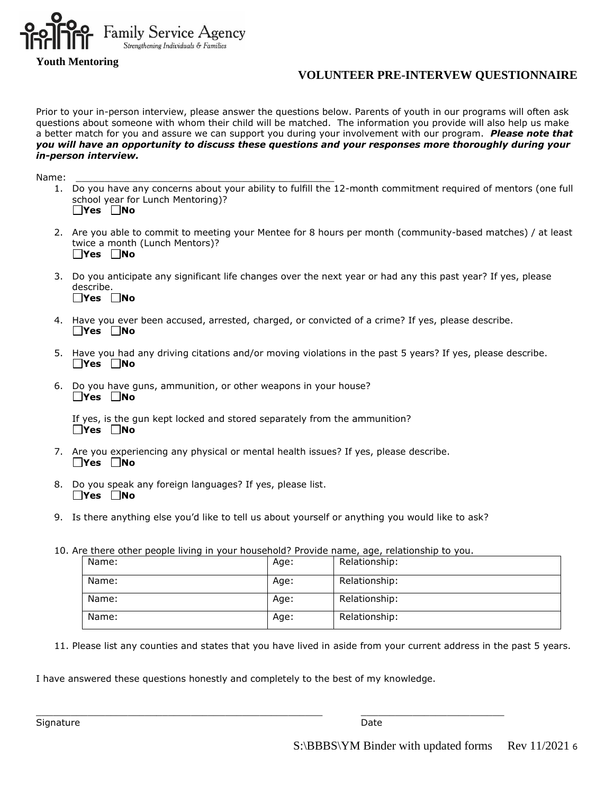

**Youth Mentoring** 

# **VOLUNTEER PRE-INTERVEW QUESTIONNAIRE**

Prior to your in-person interview, please answer the questions below. Parents of youth in our programs will often ask questions about someone with whom their child will be matched. The information you provide will also help us make a better match for you and assure we can support you during your involvement with our program. *Please note that you will have an opportunity to discuss these questions and your responses more thoroughly during your in-person interview.*

Name: \_\_\_\_\_\_\_\_\_\_\_\_\_\_\_\_\_\_\_\_\_\_\_\_\_\_\_\_\_\_\_\_\_\_\_\_\_\_\_\_\_\_\_\_\_

- 1. Do you have any concerns about your ability to fulfill the 12-month commitment required of mentors (one full school year for Lunch Mentoring)? **Yes No**
- 2. Are you able to commit to meeting your Mentee for 8 hours per month (community-based matches) / at least twice a month (Lunch Mentors)? **Yes No**
- 3. Do you anticipate any significant life changes over the next year or had any this past year? If yes, please describe. **Yes No**
- 4. Have you ever been accused, arrested, charged, or convicted of a crime? If yes, please describe. **Yes No**
- 5. Have you had any driving citations and/or moving violations in the past 5 years? If yes, please describe. **Yes No**
- 6. Do you have guns, ammunition, or other weapons in your house? **Yes No**

If yes, is the gun kept locked and stored separately from the ammunition? **Yes No**

- 7. Are you experiencing any physical or mental health issues? If yes, please describe. **Yes No**
- 8. Do you speak any foreign languages? If yes, please list. **Yes No**
- 9. Is there anything else you'd like to tell us about yourself or anything you would like to ask?
- 10. Are there other people living in your household? Provide name, age, relationship to you.

\_\_\_\_\_\_\_\_\_\_\_\_\_\_\_\_\_\_\_\_\_\_\_\_\_\_\_\_\_\_\_\_\_\_\_\_\_\_\_\_\_\_\_\_\_\_\_\_\_\_ \_\_\_\_\_\_\_\_\_\_\_\_\_\_\_\_\_\_\_\_\_\_\_\_\_

| Name: | Age: | Relationship: |
|-------|------|---------------|
| Name: | Age: | Relationship: |
| Name: | Age: | Relationship: |
| Name: | Age: | Relationship: |

11. Please list any counties and states that you have lived in aside from your current address in the past 5 years.

I have answered these questions honestly and completely to the best of my knowledge.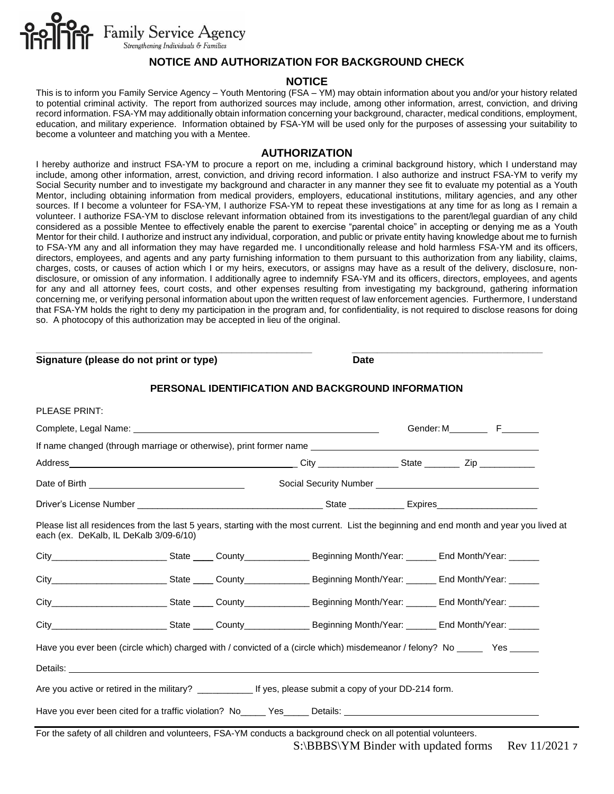

## **NOTICE AND AUTHORIZATION FOR BACKGROUND CHECK**

#### **NOTICE**

This is to inform you Family Service Agency – Youth Mentoring (FSA – YM) may obtain information about you and/or your history related to potential criminal activity. The report from authorized sources may include, among other information, arrest, conviction, and driving record information. FSA-YM may additionally obtain information concerning your background, character, medical conditions, employment, education, and military experience. Information obtained by FSA-YM will be used only for the purposes of assessing your suitability to become a volunteer and matching you with a Mentee.

#### **AUTHORIZATION**

I hereby authorize and instruct FSA-YM to procure a report on me, including a criminal background history, which I understand may include, among other information, arrest, conviction, and driving record information. I also authorize and instruct FSA-YM to verify my Social Security number and to investigate my background and character in any manner they see fit to evaluate my potential as a Youth Mentor, including obtaining information from medical providers, employers, educational institutions, military agencies, and any other sources. If I become a volunteer for FSA-YM, I authorize FSA-YM to repeat these investigations at any time for as long as I remain a volunteer. I authorize FSA-YM to disclose relevant information obtained from its investigations to the parent/legal guardian of any child considered as a possible Mentee to effectively enable the parent to exercise "parental choice" in accepting or denying me as a Youth Mentor for their child. I authorize and instruct any individual, corporation, and public or private entity having knowledge about me to furnish to FSA-YM any and all information they may have regarded me. I unconditionally release and hold harmless FSA-YM and its officers, directors, employees, and agents and any party furnishing information to them pursuant to this authorization from any liability, claims, charges, costs, or causes of action which I or my heirs, executors, or assigns may have as a result of the delivery, disclosure, nondisclosure, or omission of any information. I additionally agree to indemnify FSA-YM and its officers, directors, employees, and agents for any and all attorney fees, court costs, and other expenses resulting from investigating my background, gathering information concerning me, or verifying personal information about upon the written request of law enforcement agencies. Furthermore, I understand that FSA-YM holds the right to deny my participation in the program and, for confidentiality, is not required to disclose reasons for doing so. A photocopy of this authorization may be accepted in lieu of the original.

**\_\_\_\_\_\_\_\_\_\_\_\_\_\_\_\_\_\_\_\_\_\_\_\_\_\_\_\_\_\_\_\_\_\_\_\_\_\_\_\_\_\_\_\_\_\_\_\_\_\_\_\_\_\_\_ \_\_\_\_\_\_\_\_\_\_\_\_\_\_\_\_\_\_\_\_\_\_\_\_\_\_\_\_\_\_\_\_\_\_\_\_\_\_**

**PERSONAL IDENTIFICATION AND BACKGROUND INFORMATION** PLEASE PRINT: Complete, Legal Name: Gender: M F If name changed (through marriage or otherwise), print former name Address \_\_\_\_\_\_\_\_\_\_\_\_\_\_\_\_\_\_\_\_\_\_\_\_\_\_\_\_\_\_\_\_\_\_\_\_\_\_\_\_\_\_\_\_\_ City \_\_\_\_\_\_\_\_\_\_\_\_\_\_\_\_ State \_\_\_\_\_\_\_ Zip \_\_\_\_\_\_\_\_\_\_\_ Date of Birth Social Security Number Social Security Number Driver's License Number \_\_\_\_\_\_\_\_\_\_\_\_\_\_\_\_\_\_\_\_\_\_\_\_\_\_\_\_\_\_\_\_\_\_\_\_\_ State \_\_\_\_\_\_\_\_\_\_\_ Expires\_\_\_\_\_\_\_\_\_\_\_\_\_\_\_\_\_\_\_\_ Please list all residences from the last 5 years, starting with the most current. List the beginning and end month and year you lived at each (ex. DeKalb, IL DeKalb 3/09-6/10) City\_\_\_\_\_\_\_\_\_\_\_\_\_\_\_\_\_\_\_\_\_\_\_ State \_\_\_\_ County\_\_\_\_\_\_\_\_\_\_\_\_\_ Beginning Month/Year: \_\_\_\_\_\_ End Month/Year: \_\_\_\_\_\_ City\_\_\_\_\_\_\_\_\_\_\_\_\_\_\_\_\_\_\_\_\_\_\_\_\_\_\_State \_\_\_\_\_ County\_\_\_\_\_\_\_\_\_\_\_\_\_\_\_\_\_\_\_\_\_\_\_\_\_Beginning Month/Year: \_\_\_\_\_\_\_\_\_\_\_\_\_\_ End Month/Year: \_\_\_\_\_\_\_ City\_\_\_\_\_\_\_\_\_\_\_\_\_\_\_\_\_\_\_\_\_\_\_ State \_\_\_\_ County\_\_\_\_\_\_\_\_\_\_\_\_\_ Beginning Month/Year: \_\_\_\_\_\_ End Month/Year: \_\_\_\_\_\_ City\_\_\_\_\_\_\_\_\_\_\_\_\_\_\_\_\_\_\_\_\_\_\_\_\_\_\_\_\_ State \_\_\_\_\_\_ County\_\_\_\_\_\_\_\_\_\_\_\_\_\_\_\_\_\_\_\_\_Beginning Month/Year: \_\_\_\_\_\_\_\_ End Month/Year: \_\_

**Signature (please do not print or type) Date**

Have you ever been (circle which) charged with / convicted of a (circle which) misdemeanor / felony? No Yes

Details:

| Are you active or retired in the military? | If yes, please submit a copy of your DD-214 form. |
|--------------------------------------------|---------------------------------------------------|
|--------------------------------------------|---------------------------------------------------|

Have you ever been cited for a traffic violation? No\_\_\_\_\_ Yes\_\_\_\_\_ Details: \_\_\_\_\_

S:\BBBS\YM Binder with updated forms Rev 11/2021 7 For the safety of all children and volunteers, FSA-YM conducts a background check on all potential volunteers.